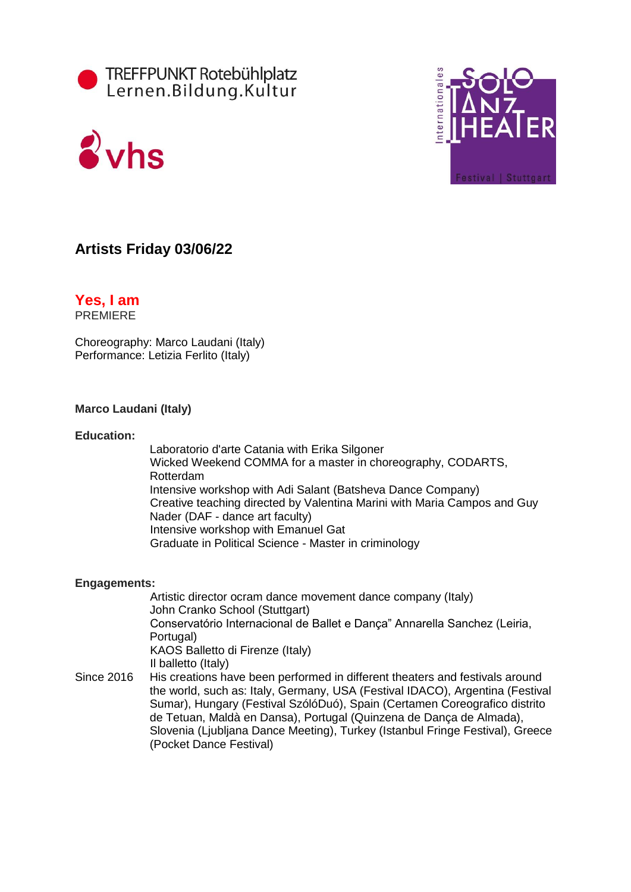





## **Artists Friday 03/06/22**

### **Yes, I am PREMIERE**

Choreography: Marco Laudani (Italy) Performance: Letizia Ferlito (Italy)

### **Marco Laudani (Italy)**

### **Education:**

Laboratorio d'arte Catania with Erika Silgoner Wicked Weekend COMMA for a master in choreography, CODARTS, Rotterdam Intensive workshop with Adi Salant (Batsheva Dance Company) Creative teaching directed by Valentina Marini with Maria Campos and Guy Nader (DAF - dance art faculty) Intensive workshop with Emanuel Gat Graduate in Political Science - Master in criminology

### **Engagements:**

Artistic director ocram dance movement dance company (Italy) John Cranko School (Stuttgart) Conservatório Internacional de Ballet e Dança" Annarella Sanchez (Leiria, Portugal) KAOS Balletto di Firenze (Italy) Il balletto (Italy)

Since 2016 His creations have been performed in different theaters and festivals around the world, such as: Italy, Germany, USA (Festival IDACO), Argentina (Festival Sumar), Hungary (Festival SzólóDuó), Spain (Certamen Coreografico distrito de Tetuan, Maldà en Dansa), Portugal (Quinzena de Dança de Almada), Slovenia (Ljubljana Dance Meeting), Turkey (Istanbul Fringe Festival), Greece (Pocket Dance Festival)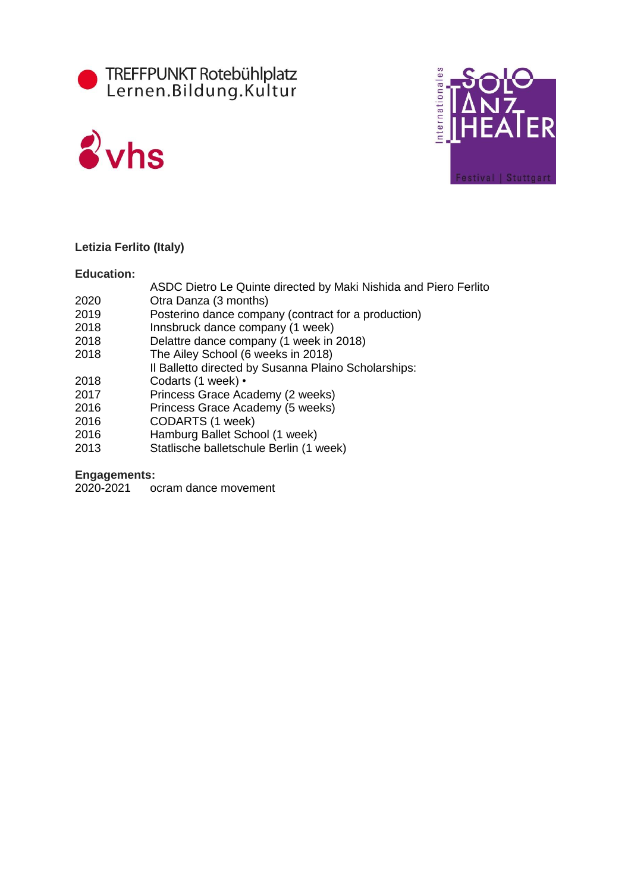





### **Letizia Ferlito (Italy)**

### **Education:**

- ASDC Dietro Le Quinte directed by Maki Nishida and Piero Ferlito
- 2020 Otra Danza (3 months)
- 2019 Posterino dance company (contract for a production)
- 2018 Innsbruck dance company (1 week)
- 2018 Delattre dance company (1 week in 2018)
- 2018 The Ailey School (6 weeks in 2018)
- Il Balletto directed by Susanna Plaino Scholarships:
- 2018 Codarts (1 week) •
- 2017 Princess Grace Academy (2 weeks)
- 2016 Princess Grace Academy (5 weeks)
- 2016 CODARTS (1 week)
- 2016 Hamburg Ballet School (1 week)<br>2013 Statlische balletschule Berlin (1 v
- Statlische balletschule Berlin (1 week)

### **Engagements:**

2020-2021 ocram dance movement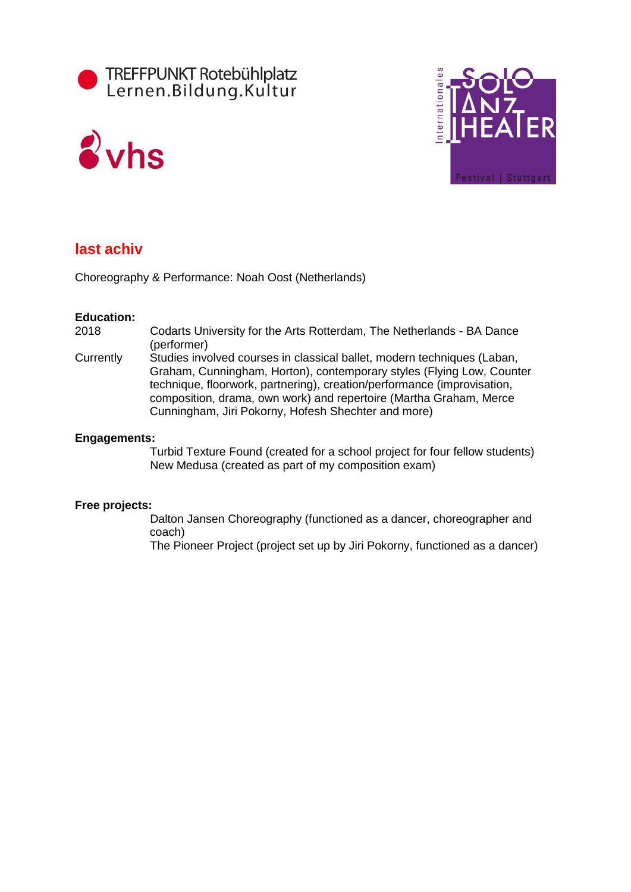





## **last achiv**

Choreography & Performance: Noah Oost (Netherlands)

### **Education:**

- 2018 Codarts University for the Arts Rotterdam, The Netherlands BA Dance (performer)
- Currently Studies involved courses in classical ballet, modern techniques (Laban, Graham, Cunningham, Horton), contemporary styles (Flying Low, Counter technique, floorwork, partnering), creation/performance (improvisation, composition, drama, own work) and repertoire (Martha Graham, Merce Cunningham, Jiri Pokorny, Hofesh Shechter and more)

### **Engagements:**

Turbid Texture Found (created for a school project for four fellow students) New Medusa (created as part of my composition exam)

### **Free projects:**

Dalton Jansen Choreography (functioned as a dancer, choreographer and coach)

The Pioneer Project (project set up by Jiri Pokorny, functioned as a dancer)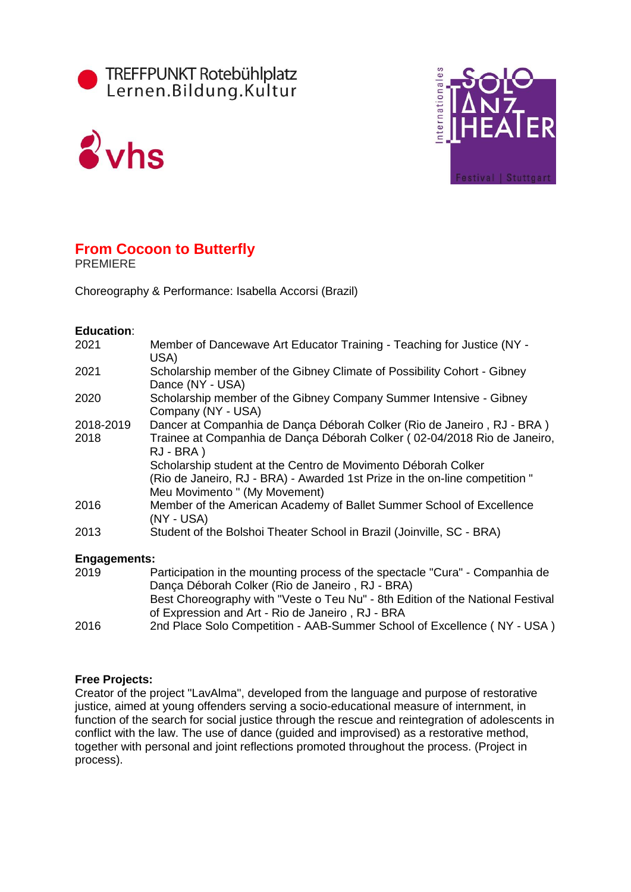





# **From Cocoon to Butterfly**

PREMIERE

Choreography & Performance: Isabella Accorsi (Brazil)

### **Education**:

| 2021                | Member of Dancewave Art Educator Training - Teaching for Justice (NY -<br>USA)                                                                                                |
|---------------------|-------------------------------------------------------------------------------------------------------------------------------------------------------------------------------|
| 2021                | Scholarship member of the Gibney Climate of Possibility Cohort - Gibney<br>Dance (NY - USA)                                                                                   |
| 2020                | Scholarship member of the Gibney Company Summer Intensive - Gibney<br>Company (NY - USA)                                                                                      |
| 2018-2019           | Dancer at Companhia de Dança Déborah Colker (Rio de Janeiro, RJ - BRA)                                                                                                        |
| 2018                | Trainee at Companhia de Dança Déborah Colker (02-04/2018 Rio de Janeiro,<br>$RJ - BRA$ )                                                                                      |
|                     | Scholarship student at the Centro de Movimento Déborah Colker<br>(Rio de Janeiro, RJ - BRA) - Awarded 1st Prize in the on-line competition "<br>Meu Movimento " (My Movement) |
| 2016                | Member of the American Academy of Ballet Summer School of Excellence<br>(NY - USA)                                                                                            |
| 2013                | Student of the Bolshoi Theater School in Brazil (Joinville, SC - BRA)                                                                                                         |
| <b>Engagements:</b> |                                                                                                                                                                               |
| 2019                | Participation in the mounting process of the spectacle "Cura" - Companhia de<br>Dança Déborah Colker (Rio de Janeiro, RJ - BRA)                                               |

|        | <b>Danya Doboran Obikor (Kio do Janoiro</b> , KJ - DIVA)                                                                                                                                                                                                                                                                                                    |
|--------|-------------------------------------------------------------------------------------------------------------------------------------------------------------------------------------------------------------------------------------------------------------------------------------------------------------------------------------------------------------|
|        | Best Choreography with "Veste o Teu Nu" - 8th Edition of the National Festival                                                                                                                                                                                                                                                                              |
|        | of Expression and Art - Rio de Janeiro, RJ - BRA                                                                                                                                                                                                                                                                                                            |
| $\sim$ | $Q_{\text{rad}}$ Dissa $Q_{\text{obs}}$ $Q_{\text{cusp}}$ $\mathcal{L}^{(1)}_{\text{cusp}}$ $\mathcal{L}^{(2)}$ $\mathcal{L}^{(3)}$ $\mathcal{L}^{(4)}$ $\mathcal{L}^{(5)}$ $\mathcal{L}^{(6)}$ $\mathcal{L}^{(7)}$ $\mathcal{L}^{(8)}$ $\mathcal{L}^{(8)}$ $\mathcal{L}^{(8)}$ $\mathcal{L}^{(8)}$ $\mathcal{L}^{(8)}$ $\mathcal{L}^{(8)}$ $\mathcal{L}^{$ |

### 2016 2nd Place Solo Competition - AAB-Summer School of Excellence ( NY - USA )

### **Free Projects:**

Creator of the project "LavAlma", developed from the language and purpose of restorative justice, aimed at young offenders serving a socio-educational measure of internment, in function of the search for social justice through the rescue and reintegration of adolescents in conflict with the law. The use of dance (guided and improvised) as a restorative method, together with personal and joint reflections promoted throughout the process. (Project in process).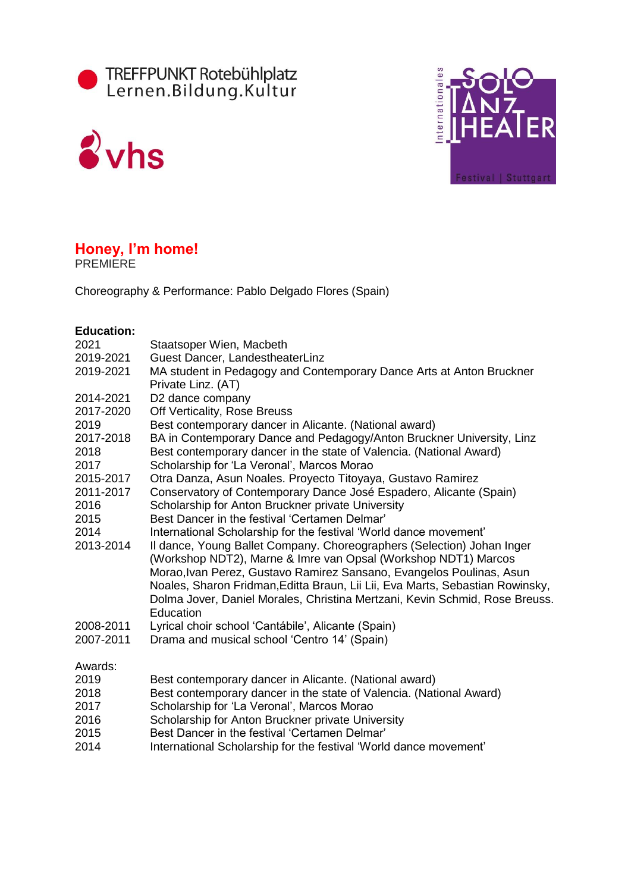





## **Honey, I'm home!**

PREMIERE

Choreography & Performance: Pablo Delgado Flores (Spain)

### **Education:**

| 2021         | Staatsoper Wien, Macbeth                                                                                                                                                                                                                                                                                                                                                                      |
|--------------|-----------------------------------------------------------------------------------------------------------------------------------------------------------------------------------------------------------------------------------------------------------------------------------------------------------------------------------------------------------------------------------------------|
| 2019-2021    | Guest Dancer, LandestheaterLinz                                                                                                                                                                                                                                                                                                                                                               |
| 2019-2021    | MA student in Pedagogy and Contemporary Dance Arts at Anton Bruckner<br>Private Linz. (AT)                                                                                                                                                                                                                                                                                                    |
| 2014-2021    | D2 dance company                                                                                                                                                                                                                                                                                                                                                                              |
| 2017-2020    | Off Verticality, Rose Breuss                                                                                                                                                                                                                                                                                                                                                                  |
| 2019         | Best contemporary dancer in Alicante. (National award)                                                                                                                                                                                                                                                                                                                                        |
| 2017-2018    | BA in Contemporary Dance and Pedagogy/Anton Bruckner University, Linz                                                                                                                                                                                                                                                                                                                         |
| 2018<br>2017 | Best contemporary dancer in the state of Valencia. (National Award)<br>Scholarship for 'La Veronal', Marcos Morao                                                                                                                                                                                                                                                                             |
| 2015-2017    | Otra Danza, Asun Noales. Proyecto Titoyaya, Gustavo Ramirez                                                                                                                                                                                                                                                                                                                                   |
| 2011-2017    | Conservatory of Contemporary Dance José Espadero, Alicante (Spain)                                                                                                                                                                                                                                                                                                                            |
| 2016         | Scholarship for Anton Bruckner private University                                                                                                                                                                                                                                                                                                                                             |
| 2015         | Best Dancer in the festival 'Certamen Delmar'                                                                                                                                                                                                                                                                                                                                                 |
| 2014         | International Scholarship for the festival 'World dance movement'                                                                                                                                                                                                                                                                                                                             |
| 2013-2014    | Il dance, Young Ballet Company. Choreographers (Selection) Johan Inger<br>(Workshop NDT2), Marne & Imre van Opsal (Workshop NDT1) Marcos<br>Morao, Ivan Perez, Gustavo Ramirez Sansano, Evangelos Poulinas, Asun<br>Noales, Sharon Fridman, Editta Braun, Lii Lii, Eva Marts, Sebastian Rowinsky,<br>Dolma Jover, Daniel Morales, Christina Mertzani, Kevin Schmid, Rose Breuss.<br>Education |
| 2008-2011    | Lyrical choir school 'Cantábile', Alicante (Spain)                                                                                                                                                                                                                                                                                                                                            |
| 2007-2011    | Drama and musical school 'Centro 14' (Spain)                                                                                                                                                                                                                                                                                                                                                  |
| Awards:      |                                                                                                                                                                                                                                                                                                                                                                                               |
| 2019         | Best contemporary dancer in Alicante. (National award)                                                                                                                                                                                                                                                                                                                                        |
| 2018         | Best contemporary dancer in the state of Valencia. (National Award)                                                                                                                                                                                                                                                                                                                           |
| 2017         | Scholarship for 'La Veronal', Marcos Morao                                                                                                                                                                                                                                                                                                                                                    |
| 2016         | Scholarship for Anton Bruckner private University                                                                                                                                                                                                                                                                                                                                             |

- 2015 Best Dancer in the festival 'Certamen Delmar'
- 2014 International Scholarship for the festival 'World dance movement'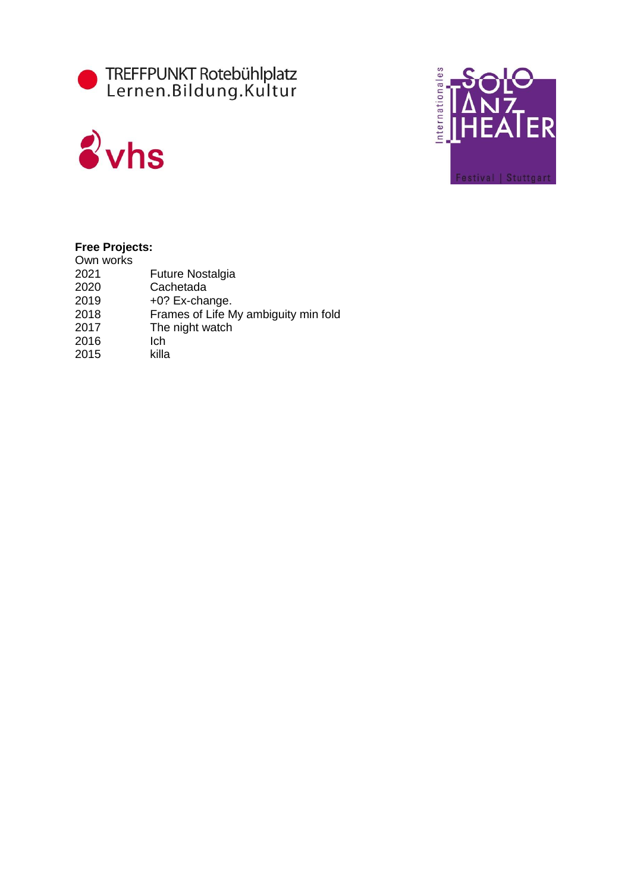





### **Free Projects:**

| Own works |                                      |
|-----------|--------------------------------------|
| 2021      | <b>Future Nostalgia</b>              |
| 2020      | Cachetada                            |
| 2019      | +0? Ex-change.                       |
| 2018      | Frames of Life My ambiguity min fold |
| 2017      | The night watch                      |
| 2016      | Ich                                  |
| 2015      | killa                                |
|           |                                      |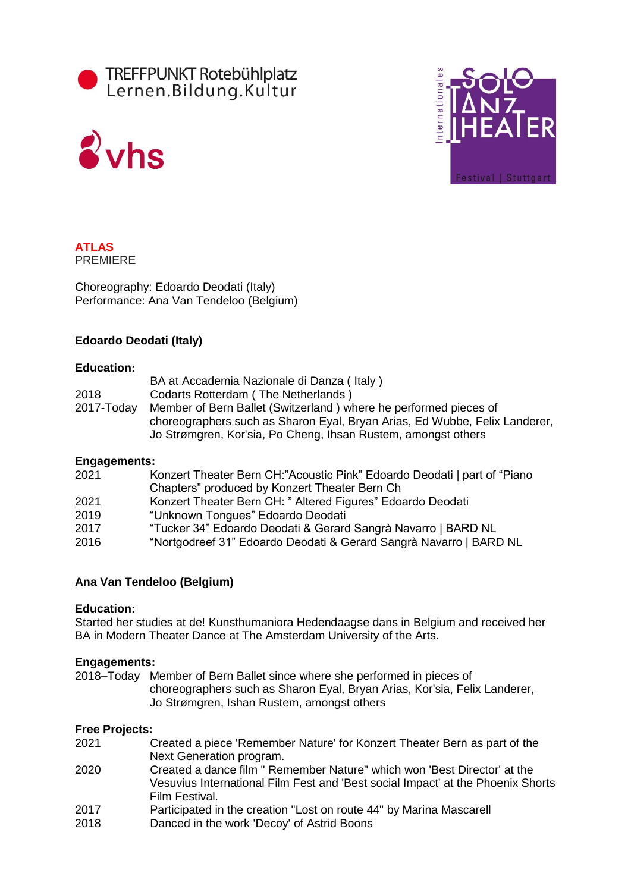





#### **ATLAS** PREMIERE

Choreography: Edoardo Deodati (Italy) Performance: Ana Van Tendeloo (Belgium)

### **Edoardo Deodati (Italy)**

### **Education:**

|            | BA at Accademia Nazionale di Danza (Italy)                                 |
|------------|----------------------------------------------------------------------------|
| 2018       | Codarts Rotterdam (The Netherlands)                                        |
| 2017-Today | Member of Bern Ballet (Switzerland) where he performed pieces of           |
|            | choreographers such as Sharon Eyal, Bryan Arias, Ed Wubbe, Felix Landerer, |
|            | Jo Strømgren, Kor'sia, Po Cheng, Ihsan Rustem, amongst others              |

### **Engagements:**

| $-1.5 - 5.0$ |                                                                           |
|--------------|---------------------------------------------------------------------------|
| 2021         | Konzert Theater Bern CH:"Acoustic Pink" Edoardo Deodati   part of "Piano" |
|              | Chapters" produced by Konzert Theater Bern Ch                             |
| 2021         | Konzert Theater Bern CH: " Altered Figures" Edoardo Deodati               |
| 2019         | "Unknown Tongues" Edoardo Deodati                                         |
| 2017         | "Tucker 34" Edoardo Deodati & Gerard Sangrà Navarro   BARD NL             |
| 2016         | "Nortgodreef 31" Edoardo Deodati & Gerard Sangrà Navarro   BARD NL        |
|              |                                                                           |

### **Ana Van Tendeloo (Belgium)**

### **Education:**

Started her studies at de! Kunsthumaniora Hedendaagse dans in Belgium and received her BA in Modern Theater Dance at The Amsterdam University of the Arts.

### **Engagements:**

2018–Today Member of Bern Ballet since where she performed in pieces of choreographers such as Sharon Eyal, Bryan Arias, Kor'sia, Felix Landerer, Jo Strømgren, Ishan Rustem, amongst others

### **Free Projects:**

- 2021 Created a piece 'Remember Nature' for Konzert Theater Bern as part of the Next Generation program.
- 2020 Created a dance film " Remember Nature" which won 'Best Director' at the Vesuvius International Film Fest and 'Best social Impact' at the Phoenix Shorts Film Festival.
- 2017 Participated in the creation "Lost on route 44" by Marina Mascarell
- 2018 Danced in the work 'Decoy' of Astrid Boons